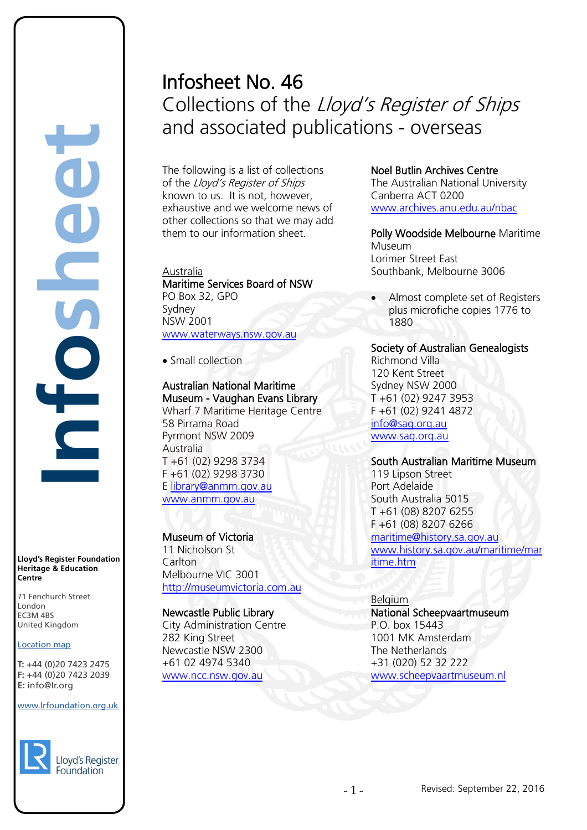# **Infosheet** rd's Register Foundat<br>
itage & Education<br>
tre<br>
Eenchurch Street<br>
don<br>
M 4BS<br>
ted Kingdom<br>
ation map<br>
44 (0)20 7423 2475<br>
44 (0)20 7423 2039<br>
nfo@lr.org

**Lloyd's Register Foundation Heritage & Education Centre**

71 Fenchurch Street London Information Services EC3M 4BS United Kingdom EC3M 4BS

#### Location map

T: +44 (0)20 7423 2475 **F:** +44 (0)20 7423 2039 Fax: +44 (0)20 7423 2039 **E:** info@lr.org Email: histinfo@lr.org

#### www.lrfoundation.org.uk



# Infosheet No. 46 Collections of the Lloyd's Register of Ships and associated publications - overseas

The following is a list of collections of the Lloyd's Register of Ships known to us. It is not, however, exhaustive and we welcome news of other collections so that we may add them to our information sheet.

#### Australia Maritime Services Board of NSW PO Box 32, GPO Sydney NSW 2001

[www.waterways.nsw.gov.au](http://www.waterways.nsw.gov.au/)

• Small collection

#### Australian National Maritime Museum - Vaughan Evans Library

Wharf 7 Maritime Heritage Centre 58 Pirrama Road Pyrmont NSW 2009 Australia T +61 (02) 9298 3734 F +61 (02) 9298 3730 E [library@anmm.gov.au](mailto:library@anmm.gov.au) [www.anmm.gov.au](http://www.anmm.gov.au/)

# Museum of Victoria 11 Nicholson St **Carlton** Melbourne VIC 3001 [http://museumvictoria.com.au](http://museumvictoria.com.au/)

# Newcastle Public Library

City Administration Centre 282 King Street Newcastle NSW 2300 +61 02 4974 5340 [www.ncc.nsw.gov.au](http://www.ncc.nsw.gov.au/)

# Noel Butlin Archives Centre

The Australian National University Canberra ACT 0200 [www.archives.anu.edu.au/nbac](http://www.archives.anu.edu.au/nbac)

Polly Woodside Melbourne Maritime Museum Lorimer Street East Southbank, Melbourne 3006

• Almost complete set of Registers plus microfiche copies 1776 to 1880

# Society of Australian Genealogists

Richmond Villa 120 Kent Street Sydney NSW 2000 T +61 (02) 9247 3953 F +61 (02) 9241 4872 [info@sag.org.au](mailto:info@sag.org.au) [www.sag.org.au](http://www.sag.org.au/)

# South Australian Maritime Museum

119 Lipson Street Port Adelaide South Australia 5015 T +61 (08) 8207 6255 F +61 (08) 8207 6266 [maritime@history.sa.gov.au](mailto:maritime@history.sa.gov.au) [www.history.sa.gov.au/maritime/mar](http://www.history.sa.gov.au/maritime/maritime.htm) [itime.htm](http://www.history.sa.gov.au/maritime/maritime.htm)

# Belgium

National Scheepvaartmuseum P.O. box 15443 1001 MK Amsterdam The Netherlands +31 (020) 52 32 222 [www.scheepvaartmuseum.nl](http://www.scheepvaartmuseum.nl/)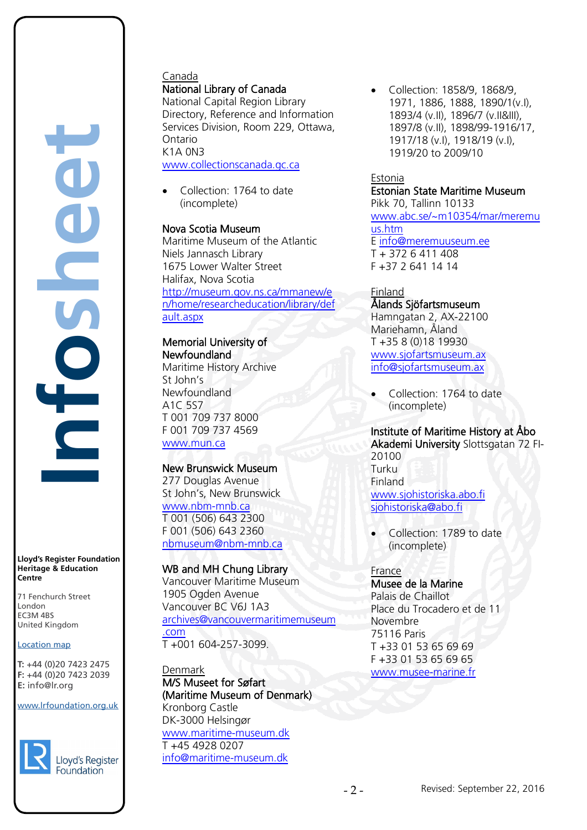# Canada National Library of Canada

National Capital Region Library Directory, Reference and Information Services Division, Room 229, Ottawa, Ontario K1A 0N3 [www.collectionscanada.gc.ca](http://www.collectionscanada.gc.ca/)

• Collection: 1764 to date (incomplete)

# Nova Scotia Museum

Maritime Museum of the Atlantic Niels Jannasch Library 1675 Lower Walter Street Halifax, Nova Scotia [http://museum.gov.ns.ca/mmanew/e](http://museum.gov.ns.ca/mmanew/en/home/researcheducation/library/default.aspx) [n/home/researcheducation/library/def](http://museum.gov.ns.ca/mmanew/en/home/researcheducation/library/default.aspx) [ault.aspx](http://museum.gov.ns.ca/mmanew/en/home/researcheducation/library/default.aspx) 

#### Memorial University of Newfoundland Maritime History Archive St John's Newfoundland A1C 5S7 T 001 709 737 8000 F 001 709 737 4569 [www.mun.ca](http://www.mun.ca/)

# New Brunswick Museum

277 Douglas Avenue St John's, New Brunswick [www.nbm-mnb.ca](http://www.nbm-mnb.ca/) T 001 (506) 643 2300 F 001 (506) 643 2360 [nbmuseum@nbm-mnb.ca](mailto:nbmuseum@nbm-mnb.ca)

# WB and MH Chung Library

Vancouver Maritime Museum 1905 Ogden Avenue Vancouver BC V6J 1A3 [archives@vancouvermaritimemuseum](mailto:archives@vancouvermaritimemuseum.com) [.com](mailto:archives@vancouvermaritimemuseum.com) T +001 604-257-3099.

#### Denmark M/S Museet for Søfart (Maritime Museum of Denmark) Kronborg Castle DK-3000 Helsingør [www.maritime-museum.dk](http://www.maritime-museum.dk/) T +45 4928 0207

[info@maritime-museum.dk](mailto:info@maritime-museum.dk)

• Collection: 1858/9, 1868/9, 1971, 1886, 1888, 1890/1(v.I), 1893/4 (v.II), 1896/7 (v.II&III), 1897/8 (v.II), 1898/99-1916/17, 1917/18 (v.I), 1918/19 (v.I), 1919/20 to 2009/10

# Estonia

Estonian State Maritime Museum Pikk 70, Tallinn 10133 [www.abc.se/~m10354/mar/meremu](http://www.abc.se/~m10354/mar/meremuus.htm) [us.htm](http://www.abc.se/~m10354/mar/meremuus.htm) E [info@meremuuseum.ee](mailto:info@meremuuseum.ee)  $T + 3726411408$ F +37 2 641 14 14

# **Finland**

Ålands Sjöfartsmuseum Hamngatan 2, AX-22100 Mariehamn, Åland T +35 8 (0)18 19930 [www.sjofartsmuseum.ax](http://www.sjofartsmuseum.ax/) [info@sjofartsmuseum.ax](mailto:info@sjofartsmuseum.ax)

• Collection: 1764 to date (incomplete)

#### Institute of Maritime History at Åbo Akademi University Slottsgatan 72 FI-20100 Turku Finland [www.sjohistoriska.abo.fi](http://www.sjohistoriska.abo.fi/) [sjohistoriska@abo.fi](mailto:sjohistoriska@abo.fi)

• Collection: 1789 to date (incomplete)

#### France Musee de la Marine Palais de Chaillot Place du Trocadero et de 11 Novembre 75116 Paris T +33 01 53 65 69 69 F +33 01 53 65 69 65 [www.musee-marine.fr](http://www.musee-marine.fr/)

www.lrfoundation.org.uk

**Lloyd's Register Foundation Heritage & Education**

rd's Register Foundat<br>
itage & Education<br>
tre<br>
Eenchurch Street<br>
don<br>
M 4BS<br>
ted Kingdom<br>
ation map<br>
44 (0)20 7423 2475<br>
44 (0)20 7423 2039<br>
nfo@lr.org

71 Fenchurch Street London Information Services EC3M 4BS United Kingdom

Location map T: +44 (0)20 7423 2475 **F:** +44 (0)20 7423 2039 Fax: +44 (0)20 7423 2039 **E:** info@lr.org Email: histinfo@lr.org

EC3M 4BS

**Centre**

**Infosheet**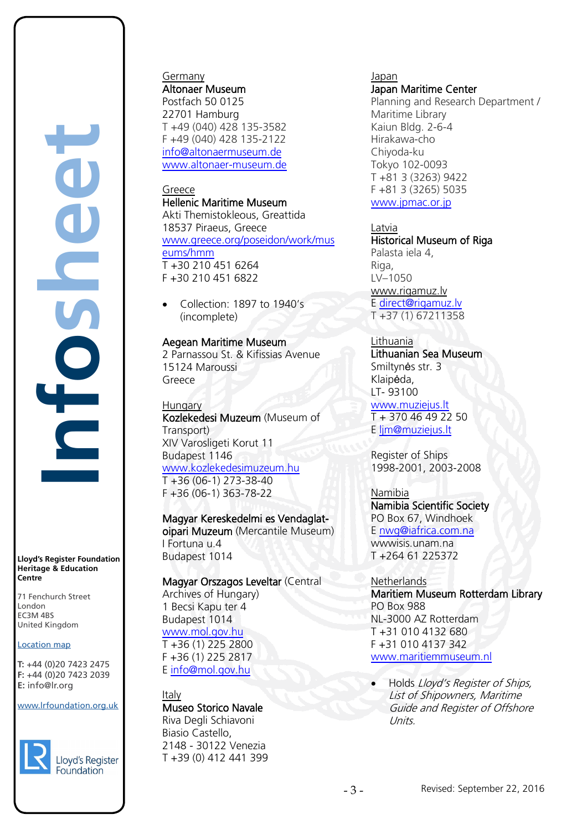**Infosheet** rd's Register Foundat<br>
itage & Education<br>
tre<br>
Eenchurch Street<br>
don<br>
M 4BS<br>
ted Kingdom<br>
ation map<br>
44 (0)20 7423 2475<br>
44 (0)20 7423 2039<br>
nfo@lr.org 

**Lloyd's Register Foundation Heritage & Education Centre**

71 Fenchurch Street London Information Services EC3M 4BS United Kingdom EC3M 4BS

#### Location map

T: +44 (0)20 7423 2475 **F:** +44 (0)20 7423 2039 Fax: +44 (0)20 7423 2039 **E:** info@lr.org  $F \rightarrow (0/20, 1 + 2)$ 

www.lrfoundation.org.uk



#### Germany Altonaer Museum

Postfach 50 0125 22701 Hamburg T +49 (040) 428 135-3582 F +49 (040) 428 135-2122 [info@altonaermuseum.de](mailto:info@altonaermuseum.de) [www.altonaer-museum.de](http://www.altonaer-museum.de/)

#### Greece

Hellenic Maritime Museum Akti Themistokleous, Greattida 18537 Piraeus, Greece [www.greece.org/poseidon/work/mus](http://www.greece.org/poseidon/work/museums/hmm) [eums/hmm](http://www.greece.org/poseidon/work/museums/hmm) T +30 210 451 6264 F +30 210 451 6822

• Collection: 1897 to 1940's (incomplete)

# Aegean Maritime Museum

2 Parnassou St. & Kifissias Avenue 15124 Maroussi Greece

**Hungary** Kozlekedesi Muzeum (Museum of Transport) XIV Varosligeti Korut 11 Budapest 1146 [www.kozlekedesimuzeum.hu](http://www.kozlekedesimuzeum.hu/)  $T + 36 (06-1) 273-38-40$ F +36 (06-1) 363-78-22

Magyar Kereskedelmi es Vendaglatoipari Muzeum (Mercantile Museum) I Fortuna u.4 Budapest 1014

Magyar Orszagos Leveltar (Central Archives of Hungary) 1 Becsi Kapu ter 4 Budapest 1014 [www.mol.gov.hu](http://www.mol.gov.hu/) T +36 (1) 225 2800 F +36 (1) 225 2817

E [info@mol.gov.hu](mailto:info@mol.gov.hu)

#### Italy Museo Storico Navale

Riva Degli Schiavoni Biasio Castello, 2148 - 30122 Venezia T +39 (0) 412 441 399

# Japan

Japan Maritime Center Planning and Research Department / Maritime Library Kaiun Bldg. 2-6-4 Hirakawa-cho Chiyoda-ku Tokyo 102-0093 T +81 3 (3263) 9422 F +81 3 (3265) 5035 [www.jpmac.or.jp](http://www.jpmac.or.jp/)

Latvia

Historical Museum of Riga Palasta iela 4, Riga, LV–1050 [www.rigamuz.lv](http://www.rigamuz.lv/) E [direct@rigamuz.lv](mailto:direct@rigamuz.lv) T +37 (1) 67211358

# Lithuania

Lithuanian Sea Museum Smiltynės str. 3 Klaipėda, LT- 93100

[www.muziejus.lt](http://www.muziejus.lt/)  T + 370 46 49 22 50 E [ljm@muziejus.lt](mailto:ljm@muziejus.lt) 

Register of Ships 1998-2001, 2003-2008

# Namibia

Namibia Scientific Society PO Box 67, Windhoek E [nwg@iafrica.com.na](mailto:nwg@iafrica.com.na)  wwwisis.unam.na

T +264 61 225372

**Netherlands** Maritiem Museum Rotterdam Library PO Box 988 NL-3000 AZ Rotterdam T +31 010 4132 680

F +31 010 4137 342 [www.maritiemmuseum.nl](http://www.maritiemmuseum.nl/)

• Holds Lloyd's Register of Ships, List of Shipowners, Maritime Guide and Register of Offshore Units.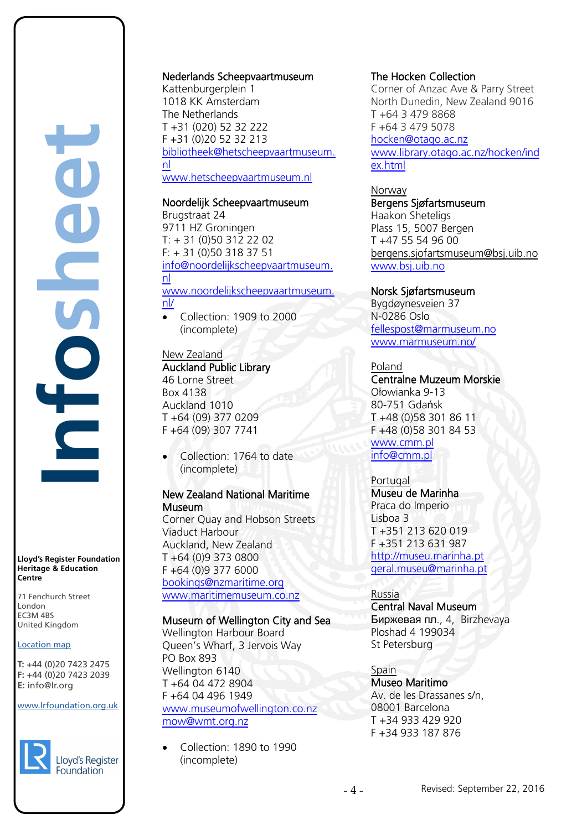**Infosheet** rd's Register Foundat<br>
itage & Education<br>
tre<br>
Eenchurch Street<br>
don<br>
M 4BS<br>
ted Kingdom<br>
ation map<br>
44 (0)20 7423 2475<br>
44 (0)20 7423 2039<br>
nfo@lr.org S É

**Lloyd's Register Foundation Heritage & Education Centre**

71 Fenchurch Street London Information Services EC3M 4BS United Kingdom EC3M 4BS

#### Location map

T: +44 (0)20 7423 2475 **F:** +44 (0)20 7423 2039 Fax: +44 (0)20 7423 2039 **E:** info@lr.org Email: histinfo@lr.org

#### www.lrfoundation.org.uk



#### Nederlands Scheepvaartmuseum

Kattenburgerplein 1 1018 KK Amsterdam The Netherlands T +31 (020) 52 32 222 F +31 (0)20 52 32 21[3](mailto:info@scheepvaartmuseum.nl) [bibliotheek@hetscheepvaartmuseum.](mailto:bibliotheek@hetscheepvaartmuseum.nl) [nl](mailto:bibliotheek@hetscheepvaartmuseum.nl) 

# [www.hetscheepvaartmuseum.nl](http://www.hetscheepvaartmuseum.nl/)

Noordelijk Scheepvaartmuseum Brugstraat 24 9711 HZ Groningen T: + 31 (0)50 312 22 02 F: + 31 (0)50 318 37 51 [info@noordelijkscheepvaartmuseum.](mailto:info@noordelijkscheepvaartmuseum.nl)

# [nl](mailto:info@noordelijkscheepvaartmuseum.nl)  [www.noordelijkscheepvaartmuseum.](http://www.noordelijkscheepvaartmuseum.nl/)  $\overline{nl}$

• Collection: 1909 to 2000 (incomplete)

#### New Zealand Auckland Public Library

46 Lorne Street Box 4138 Auckland 1010 T +64 (09) 377 0209 F +64 (09) 307 7741

• Collection: 1764 to date (incomplete)

# New Zealand National Maritime **Museum**

Corner Quay and Hobson Streets Viaduct Harbour Auckland, New Zealand T +64 (0)9 373 0800 F +64 (0)9 377 6000 [bookings@nzmaritime.org](mailto:bookings@nzmaritime.org) [www.maritimemuseum.co.nz](http://www.maritimemuseum.co.nz/)

# Museum of Wellington City and Sea

Wellington Harbour Board Queen's Wharf, 3 Jervois Way PO Box 893 Wellington 6140 T +64 04 472 8904 F +64 04 496 1949 [www.museumofwellington.co.nz](http://www.museumofwellington.co.nz/) [mow@wmt.org.nz](mailto:mow@wmt.org.nz)

• Collection: 1890 to 1990 (incomplete)

#### The Hocken Collection

Corner of Anzac Ave & Parry Street North Dunedin, New Zealand 9016 T +64 3 479 8868 F +64 3 479 5078 [hocken@otago.ac.nz](mailto:hocken@otago.ac.nz) [www.library.otago.ac.nz/hocken/ind](http://www.library.otago.ac.nz/hocken/index.html) [ex.html](http://www.library.otago.ac.nz/hocken/index.html)

Norway Bergens Sjøfartsmuseum Haakon Sheteligs Plass 15, 5007 Bergen T +47 55 54 96 00 [bergens.sjofartsmuseum@bsj.uib.no](mailto:bergens.sjofartsmuseum@bsj.uib.no) [www.bsj.uib.no](http://www.bsj.uib.no/)

# Norsk Sjøfartsmuseum

Bygdøynesveien 37 N-0286 Oslo [fellespost@marmuseum.no](mailto:fellespost@marmuseum.no) [www.marmuseum.no/](http://www.marmuseum.no/) 

# Poland

Centralne Muzeum Morskie Ołowianka 9-13 80-751 Gdańsk T +48 (0)58 301 86 11 F +48 (0)58 301 84 53

#### [www.cmm.pl](http://www.cmm.pl/) [info@cmm.pl](mailto:info@cmm.pl)

# **Portugal**

Museu de Marinha Praca do Imperio Lisboa 3 T +351 213 620 019 F +351 213 631 987 [http://museu.marinha.pt](http://museu.marinha.pt/) [geral.museu@marinha.pt](mailto:geral.museu@marinha.pt)

# Russia

Central Naval Museum Биржевая пл., 4, Birzhevaya Ploshad 4 199034 St Petersburg

# Spain

Museo Maritimo Av. de les Drassanes s/n, 08001 Barcelona T +34 933 429 920 F +34 933 187 876